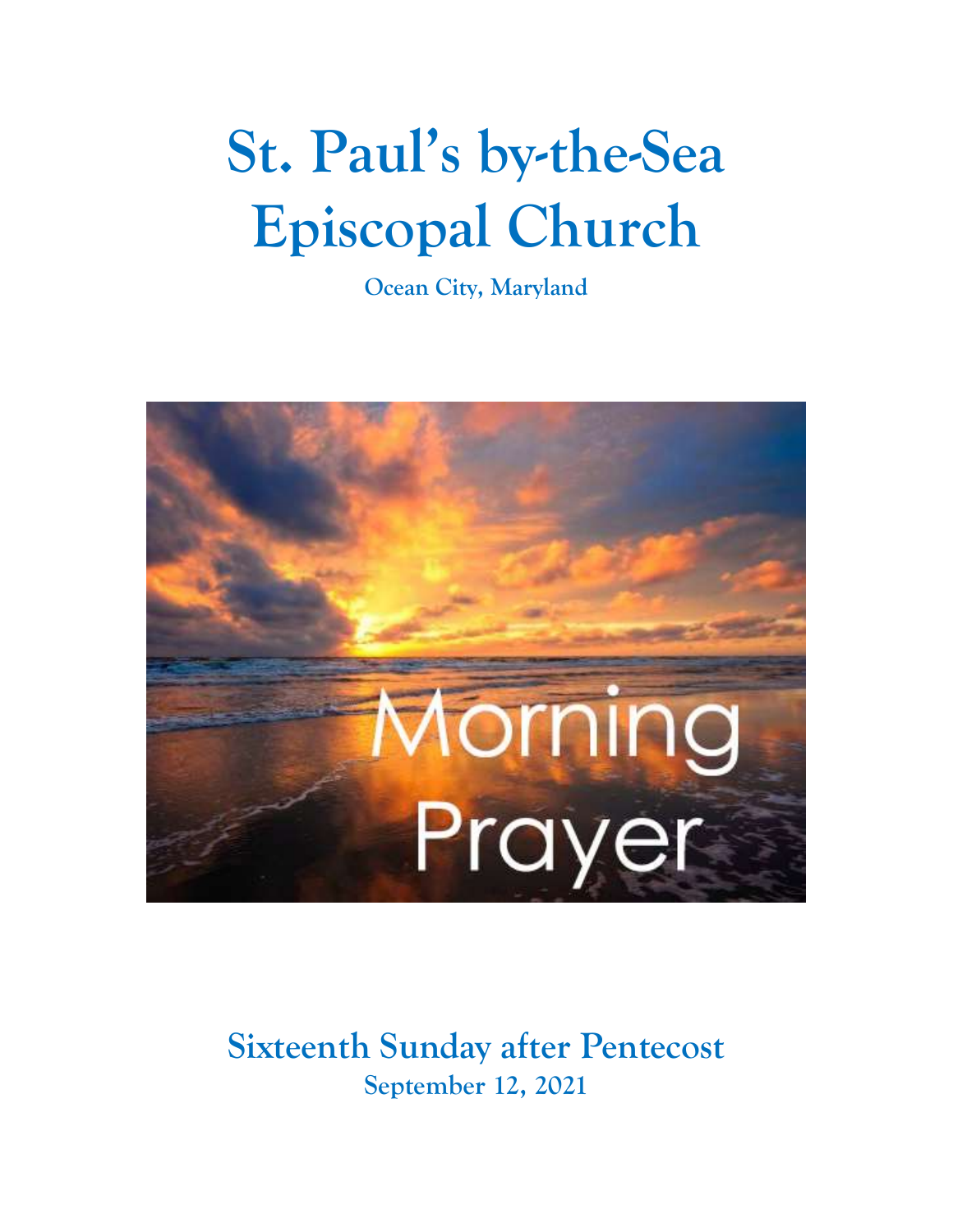# **St. Paul's by-the-Sea Episcopal Church**

**Ocean City, Maryland**



## **Sixteenth Sunday after Pentecost September 12, 2021**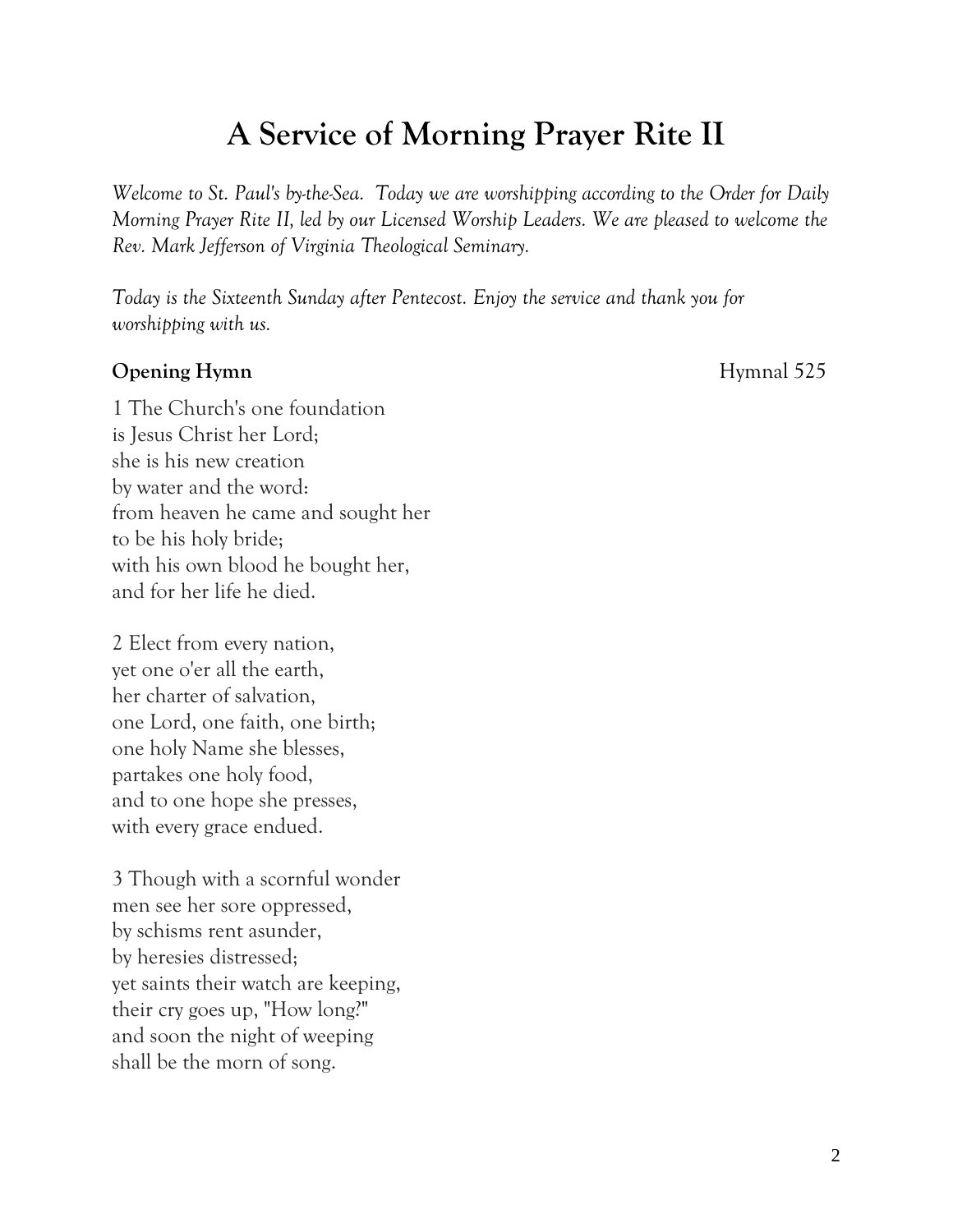## **A Service of Morning Prayer Rite II**

*Welcome to St. Paul's by-the-Sea. Today we are worshipping according to the Order for Daily Morning Prayer Rite II, led by our Licensed Worship Leaders. We are pleased to welcome the Rev. Mark Jefferson of Virginia Theological Seminary.*

*Today is the Sixteenth Sunday after Pentecost. Enjoy the service and thank you for worshipping with us.*

#### **Opening Hymn** Hymnal 525

1 The Church's one foundation is Jesus Christ her Lord; she is his new creation by water and the word: from heaven he came and sought her to be his holy bride; with his own blood he bought her, and for her life he died.

2 Elect from every nation, yet one o'er all the earth, her charter of salvation, one Lord, one faith, one birth; one holy Name she blesses, partakes one holy food, and to one hope she presses, with every grace endued.

3 Though with a scornful wonder men see her sore oppressed, by schisms rent asunder, by heresies distressed; yet saints their watch are keeping, their cry goes up, "How long?" and soon the night of weeping shall be the morn of song.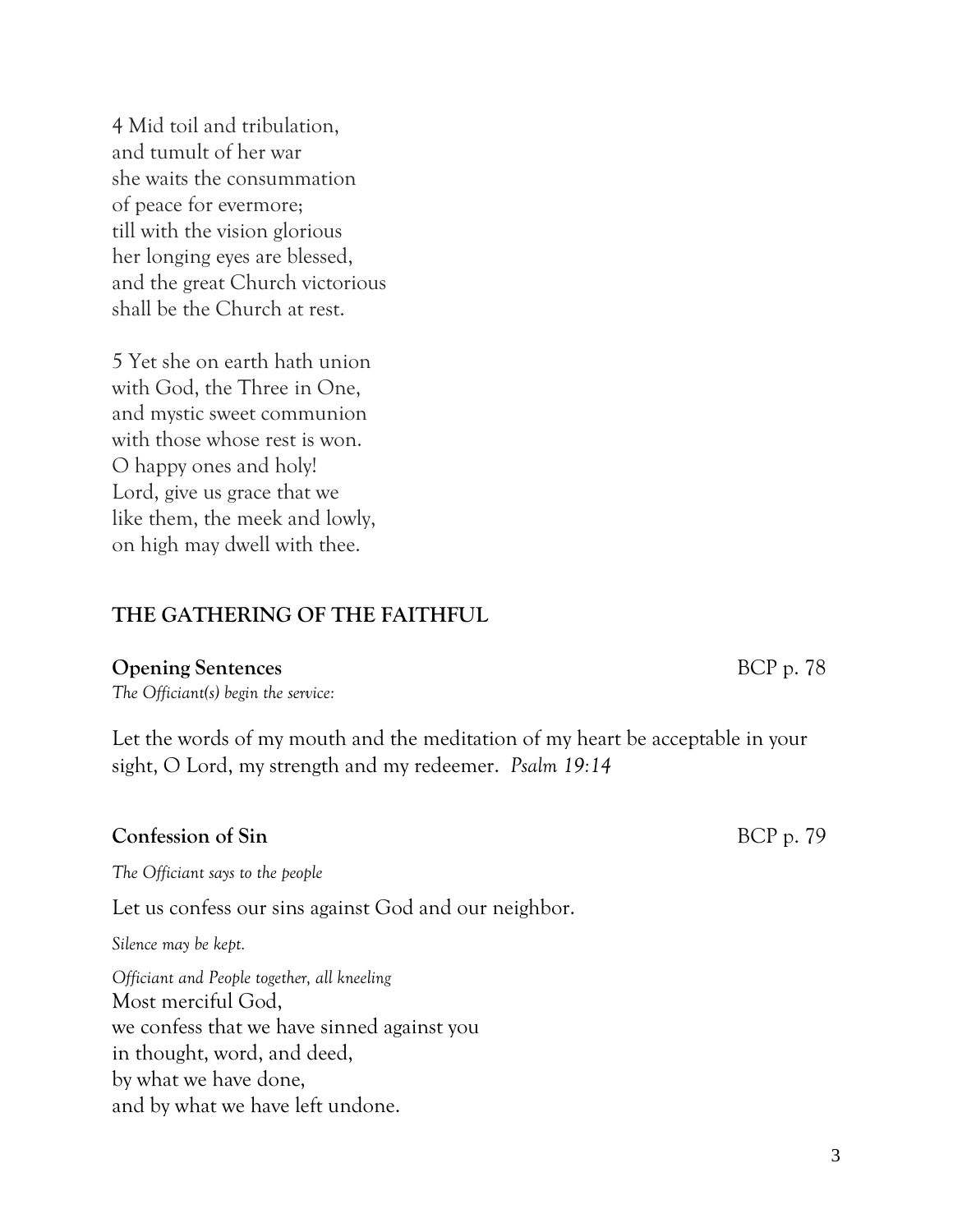4 Mid toil and tribulation, and tumult of her war she waits the consummation of peace for evermore; till with the vision glorious her longing eyes are blessed, and the great Church victorious shall be the Church at rest.

5 Yet she on earth hath union with God, the Three in One, and mystic sweet communion with those whose rest is won. O happy ones and holy! Lord, give us grace that we like them, the meek and lowly, on high may dwell with thee.

#### **THE GATHERING OF THE FAITHFUL**

#### **Opening Sentences** BCP p. 78

*The Officiant(s) begin the service:*

Let the words of my mouth and the meditation of my heart be acceptable in your sight, O Lord, my strength and my redeemer. *Psalm 19:14*

#### **Confession of Sin** BCP p. 79

*The Officiant says to the people*

Let us confess our sins against God and our neighbor.

*Silence may be kept.*

*Officiant and People together, all kneeling* Most merciful God, we confess that we have sinned against you in thought, word, and deed, by what we have done, and by what we have left undone.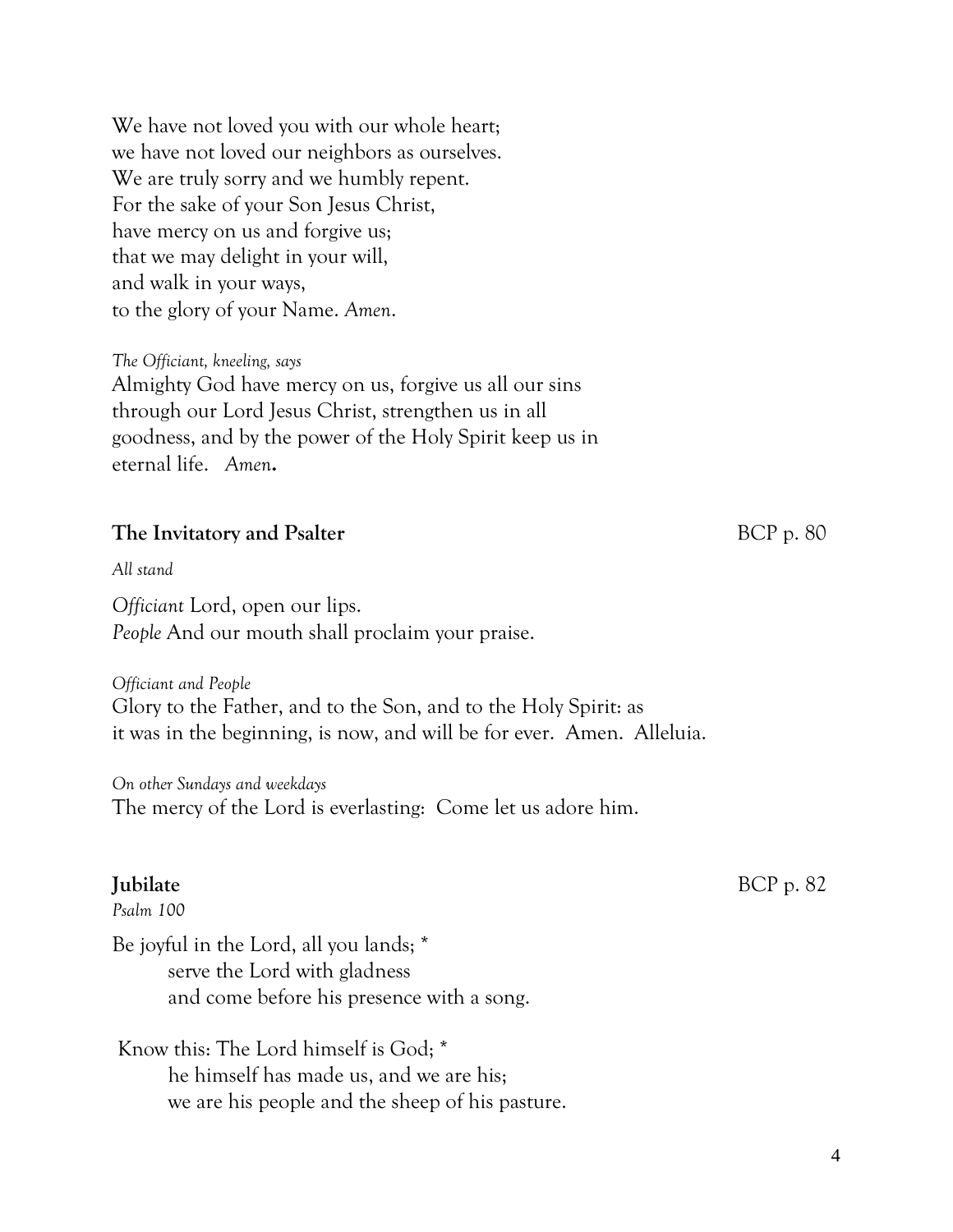We have not loved you with our whole heart; we have not loved our neighbors as ourselves. We are truly sorry and we humbly repent. For the sake of your Son Jesus Christ, have mercy on us and forgive us; that we may delight in your will, and walk in your ways, to the glory of your Name. *Amen*.

*The Officiant, kneeling, says* Almighty God have mercy on us, forgive us all our sins through our Lord Jesus Christ, strengthen us in all goodness, and by the power of the Holy Spirit keep us in eternal life. *Amen***.**

#### **The Invitatory and Psalter** BCP p. 80

*All stand*

*Officiant* Lord, open our lips. *People* And our mouth shall proclaim your praise.

*Officiant and People* Glory to the Father, and to the Son, and to the Holy Spirit: as it was in the beginning, is now, and will be for ever. Amen. Alleluia.

*On other Sundays and weekdays* The mercy of the Lord is everlasting: Come let us adore him.

*Psalm 100*

Be joyful in the Lord, all you lands; \* serve the Lord with gladness and come before his presence with a song.

Know this: The Lord himself is God; \* he himself has made us, and we are his; we are his people and the sheep of his pasture.

**Jubilate** BCP p. 82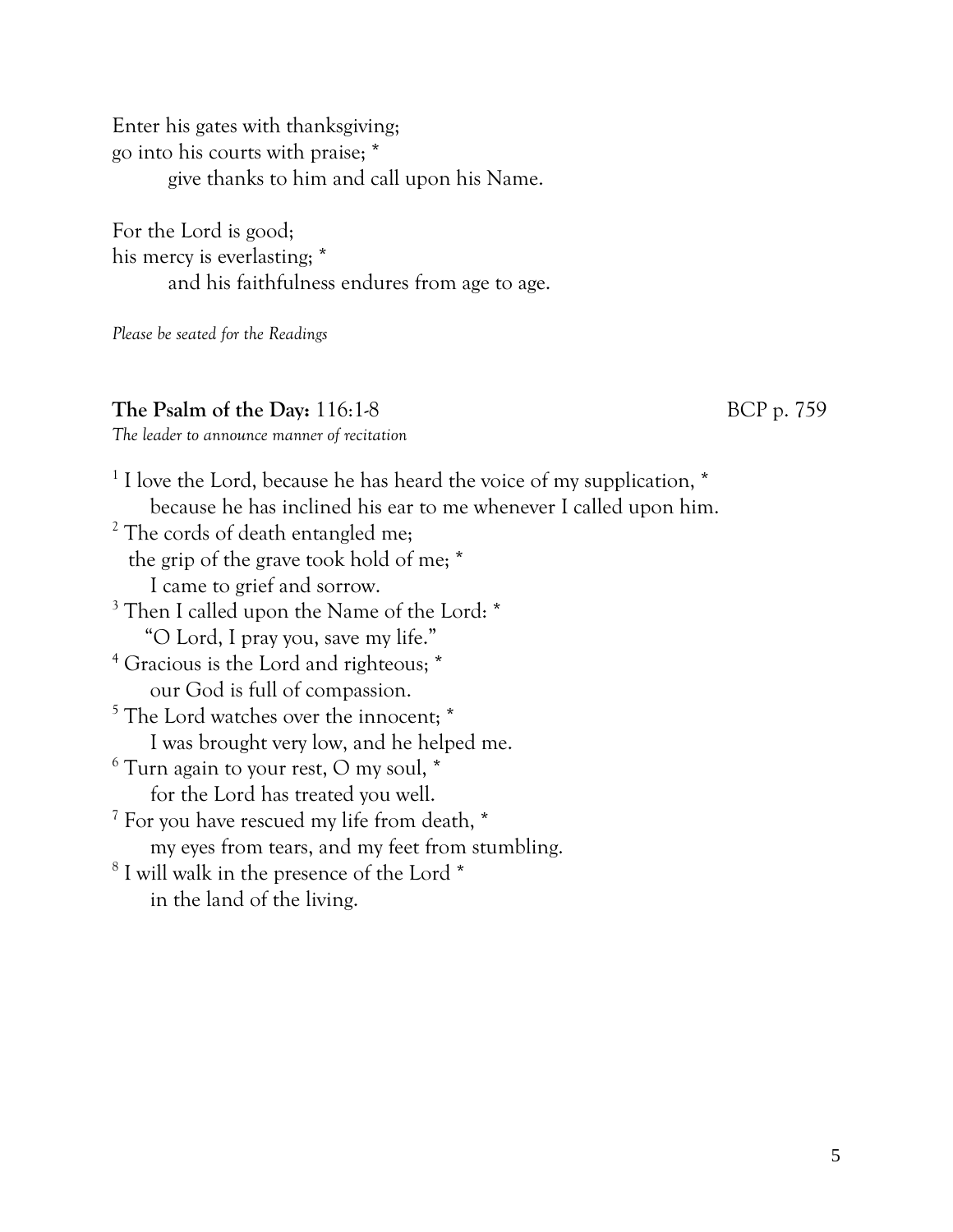Enter his gates with thanksgiving; go into his courts with praise; \* give thanks to him and call upon his Name.

For the Lord is good; his mercy is everlasting; \* and his faithfulness endures from age to age.

*Please be seated for the Readings*

#### **The Psalm of the Day:** 116:1-8 BCP p. 759

*The leader to announce manner of recitation*

<sup>1</sup> I love the Lord, because he has heard the voice of my supplication, \* because he has inclined his ear to me whenever I called upon him. <sup>2</sup> The cords of death entangled me; the grip of the grave took hold of me; \* I came to grief and sorrow. <sup>3</sup> Then I called upon the Name of the Lord: \* "O Lord, I pray you, save my life." <sup>4</sup> Gracious is the Lord and righteous; \* our God is full of compassion. <sup>5</sup> The Lord watches over the innocent;  $*$ I was brought very low, and he helped me.  $6$  Turn again to your rest, O my soul,  $*$ for the Lord has treated you well. <sup>7</sup> For you have rescued my life from death, \* my eyes from tears, and my feet from stumbling. 8 I will walk in the presence of the Lord \* in the land of the living.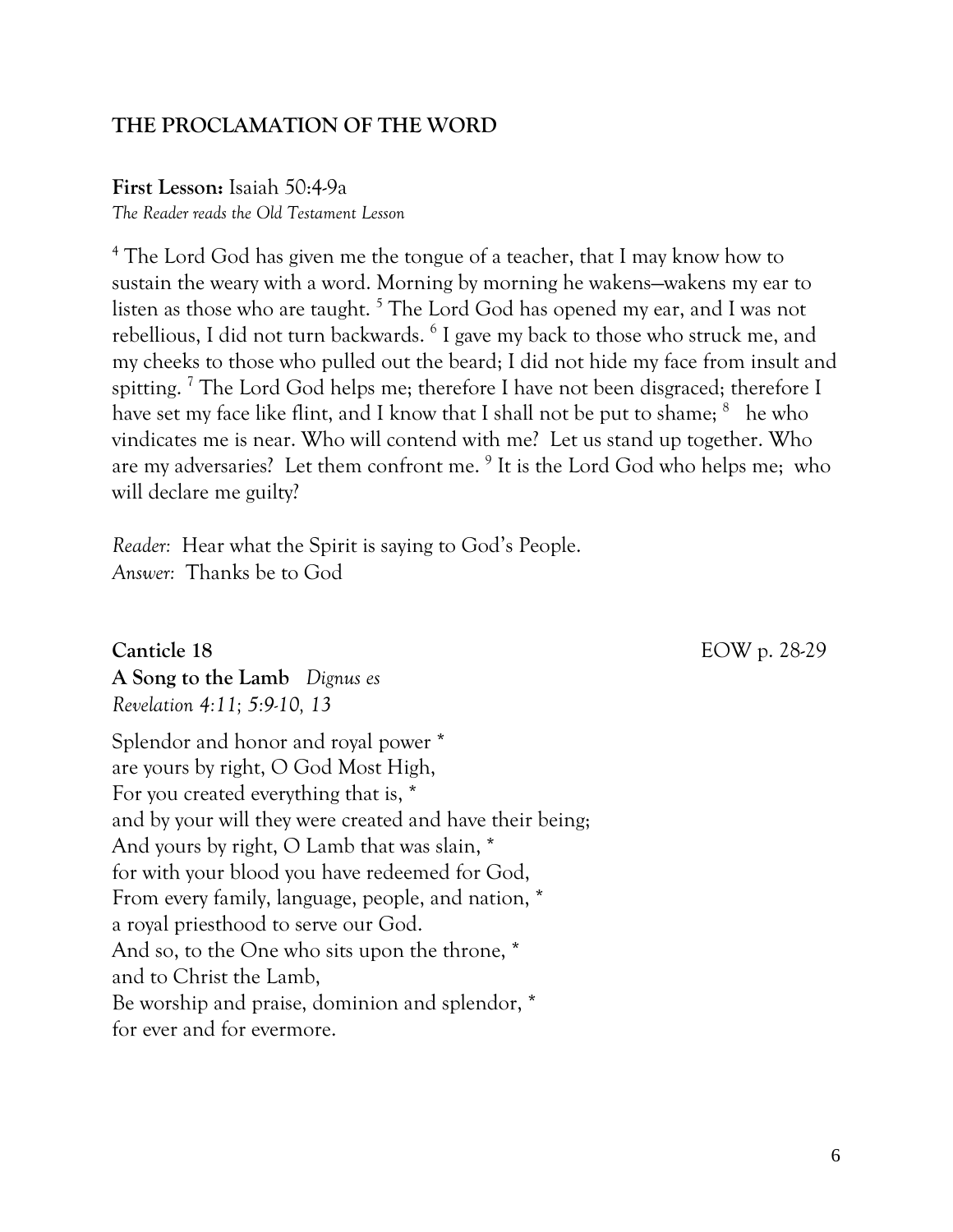#### **THE PROCLAMATION OF THE WORD**

**First Lesson:** Isaiah 50:4-9a *The Reader reads the Old Testament Lesson*

<sup>4</sup> The Lord God has given me the tongue of a teacher, that I may know how to sustain the weary with a word. Morning by morning he wakens—wakens my ear to listen as those who are taught.<sup>5</sup> The Lord God has opened my ear, and I was not rebellious, I did not turn backwards. <sup>6</sup> I gave my back to those who struck me, and my cheeks to those who pulled out the beard; I did not hide my face from insult and spitting.<sup>7</sup> The Lord God helps me; therefore I have not been disgraced; therefore I have set my face like flint, and I know that I shall not be put to shame;  $^8$  he who vindicates me is near. Who will contend with me? Let us stand up together. Who are my adversaries? Let them confront me. <sup>9</sup> It is the Lord God who helps me; who will declare me guilty?

*Reader:* Hear what the Spirit is saying to God's People. *Answer:* Thanks be to God

**Canticle 18** EOW p. 28-29

**A Song to the Lamb** *Dignus es Revelation 4:11; 5:9-10, 13*

Splendor and honor and royal power \* are yours by right, O God Most High, For you created everything that is, \* and by your will they were created and have their being; And yours by right, O Lamb that was slain, \* for with your blood you have redeemed for God, From every family, language, people, and nation, \* a royal priesthood to serve our God. And so, to the One who sits upon the throne, \* and to Christ the Lamb, Be worship and praise, dominion and splendor, \* for ever and for evermore.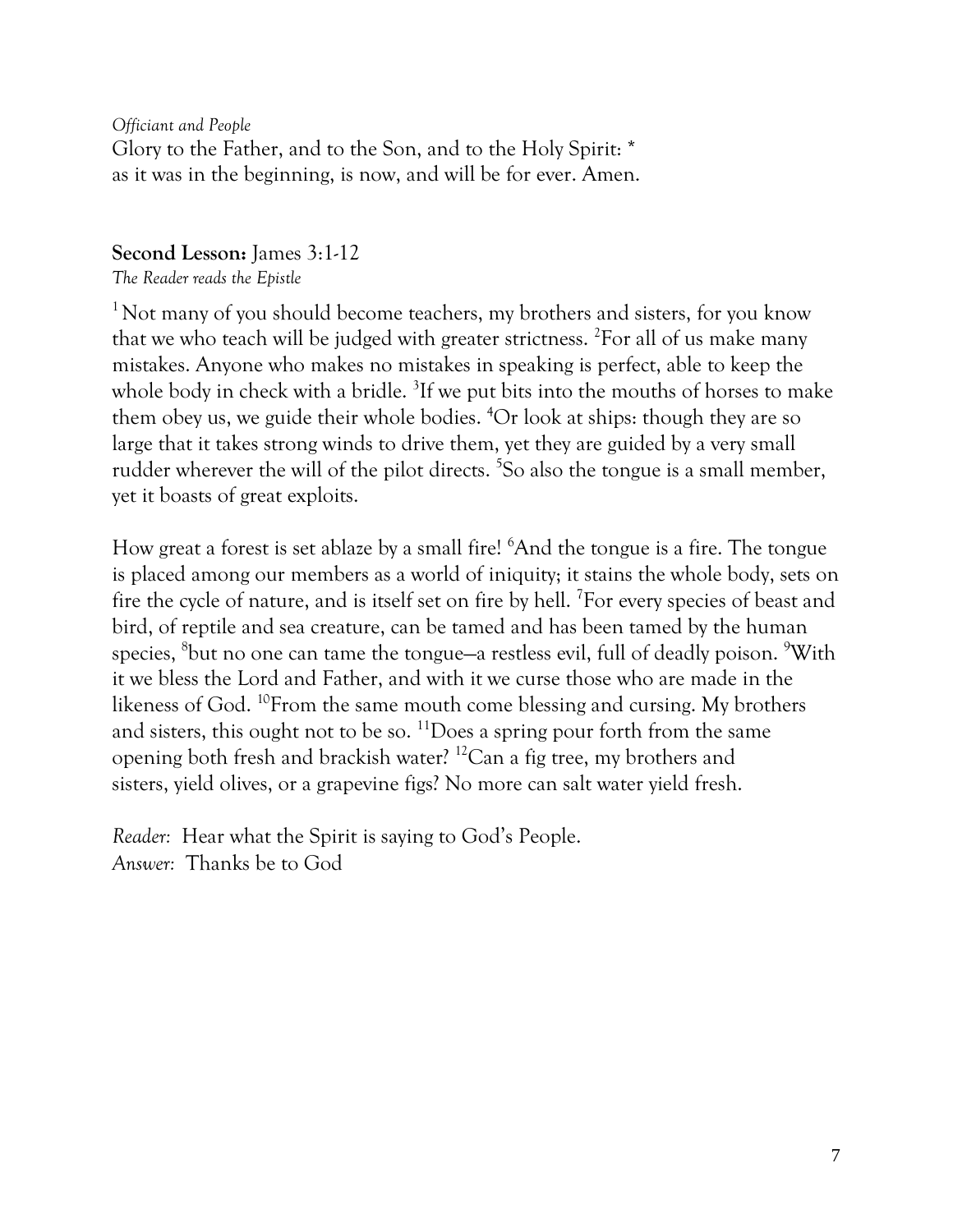*Officiant and People* Glory to the Father, and to the Son, and to the Holy Spirit: \* as it was in the beginning, is now, and will be for ever. Amen.

#### **Second Lesson:** James 3:1-12

*The Reader reads the Epistle*

 $1$  Not many of you should become teachers, my brothers and sisters, for you know that we who teach will be judged with greater strictness. <sup>2</sup>For all of us make many mistakes. Anyone who makes no mistakes in speaking is perfect, able to keep the whole body in check with a bridle. <sup>3</sup>If we put bits into the mouths of horses to make them obey us, we guide their whole bodies. <sup>4</sup>Or look at ships: though they are so large that it takes strong winds to drive them, yet they are guided by a very small rudder wherever the will of the pilot directs. <sup>5</sup>So also the tongue is a small member, yet it boasts of great exploits.

How great a forest is set ablaze by a small fire! <sup>6</sup>And the tongue is a fire. The tongue is placed among our members as a world of iniquity; it stains the whole body, sets on fire the cycle of nature, and is itself set on fire by hell. <sup>7</sup>For every species of beast and bird, of reptile and sea creature, can be tamed and has been tamed by the human species,  $^8$ but no one can tame the tongue—a restless evil, full of deadly poison.  $^9\text{With}$ it we bless the Lord and Father, and with it we curse those who are made in the likeness of God. <sup>10</sup>From the same mouth come blessing and cursing. My brothers and sisters, this ought not to be so.  $\frac{11}{10}$  Does a spring pour forth from the same opening both fresh and brackish water? <sup>12</sup>Can a fig tree, my brothers and sisters, yield olives, or a grapevine figs? No more can salt water yield fresh.

*Reader:* Hear what the Spirit is saying to God's People. *Answer:* Thanks be to God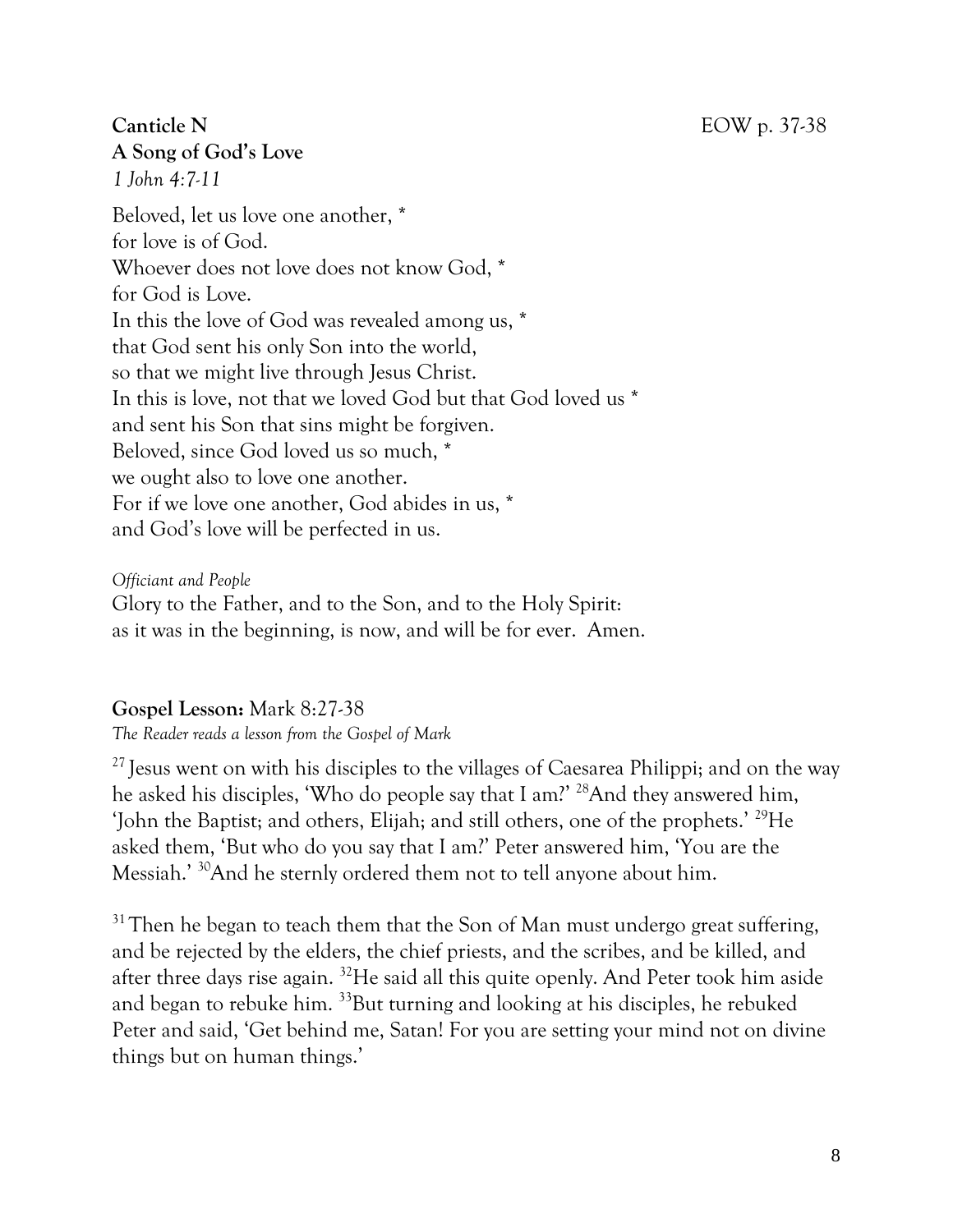### **Canticle N** EOW p. 37-38 **A Song of God's Love**

*1 John 4:7-11*

Beloved, let us love one another, \* for love is of God. Whoever does not love does not know God, \* for God is Love. In this the love of God was revealed among us, \* that God sent his only Son into the world, so that we might live through Jesus Christ. In this is love, not that we loved God but that God loved us \* and sent his Son that sins might be forgiven. Beloved, since God loved us so much, \* we ought also to love one another. For if we love one another, God abides in us, \* and God's love will be perfected in us.

*Officiant and People*

Glory to the Father, and to the Son, and to the Holy Spirit: as it was in the beginning, is now, and will be for ever. Amen.

### **Gospel Lesson:** Mark 8:27-38

*The Reader reads a lesson from the Gospel of Mark*

 $27$  Jesus went on with his disciples to the villages of Caesarea Philippi; and on the way he asked his disciples, 'Who do people say that I am?' <sup>28</sup>And they answered him, 'John the Baptist; and others, Elijah; and still others, one of the prophets.' <sup>29</sup>He asked them, 'But who do you say that I am?' Peter answered him, 'You are the Messiah.' <sup>30</sup>And he sternly ordered them not to tell anyone about him.

 $31$  Then he began to teach them that the Son of Man must undergo great suffering, and be rejected by the elders, the chief priests, and the scribes, and be killed, and after three days rise again. <sup>32</sup>He said all this quite openly. And Peter took him aside and began to rebuke him. <sup>33</sup>But turning and looking at his disciples, he rebuked Peter and said, 'Get behind me, Satan! For you are setting your mind not on divine things but on human things.'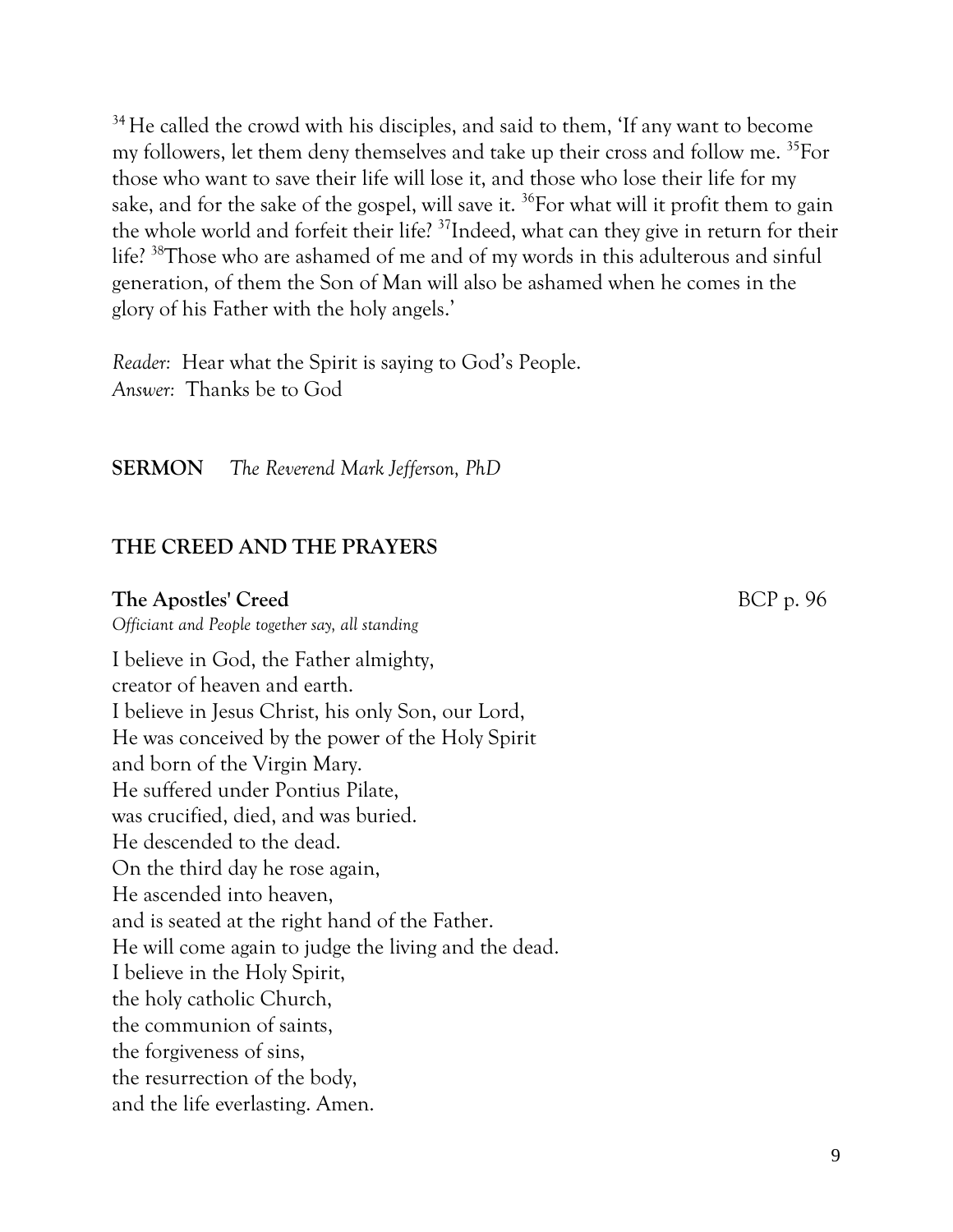<sup>34</sup> He called the crowd with his disciples, and said to them, 'If any want to become my followers, let them deny themselves and take up their cross and follow me. <sup>35</sup>For those who want to save their life will lose it, and those who lose their life for my sake, and for the sake of the gospel, will save it.  $^{36}$  For what will it profit them to gain the whole world and forfeit their life? <sup>37</sup>Indeed, what can they give in return for their life? <sup>38</sup>Those who are ashamed of me and of my words in this adulterous and sinful generation, of them the Son of Man will also be ashamed when he comes in the glory of his Father with the holy angels.'

*Reader:* Hear what the Spirit is saying to God's People. *Answer:* Thanks be to God

**SERMON** *The Reverend Mark Jefferson, PhD*

#### **THE CREED AND THE PRAYERS**

#### **The Apostles' Creed** BCP p. 96

*Officiant and People together say, all standing* 

I believe in God, the Father almighty, creator of heaven and earth. I believe in Jesus Christ, his only Son, our Lord, He was conceived by the power of the Holy Spirit and born of the Virgin Mary. He suffered under Pontius Pilate, was crucified, died, and was buried. He descended to the dead. On the third day he rose again, He ascended into heaven, and is seated at the right hand of the Father. He will come again to judge the living and the dead. I believe in the Holy Spirit, the holy catholic Church, the communion of saints, the forgiveness of sins, the resurrection of the body, and the life everlasting. Amen.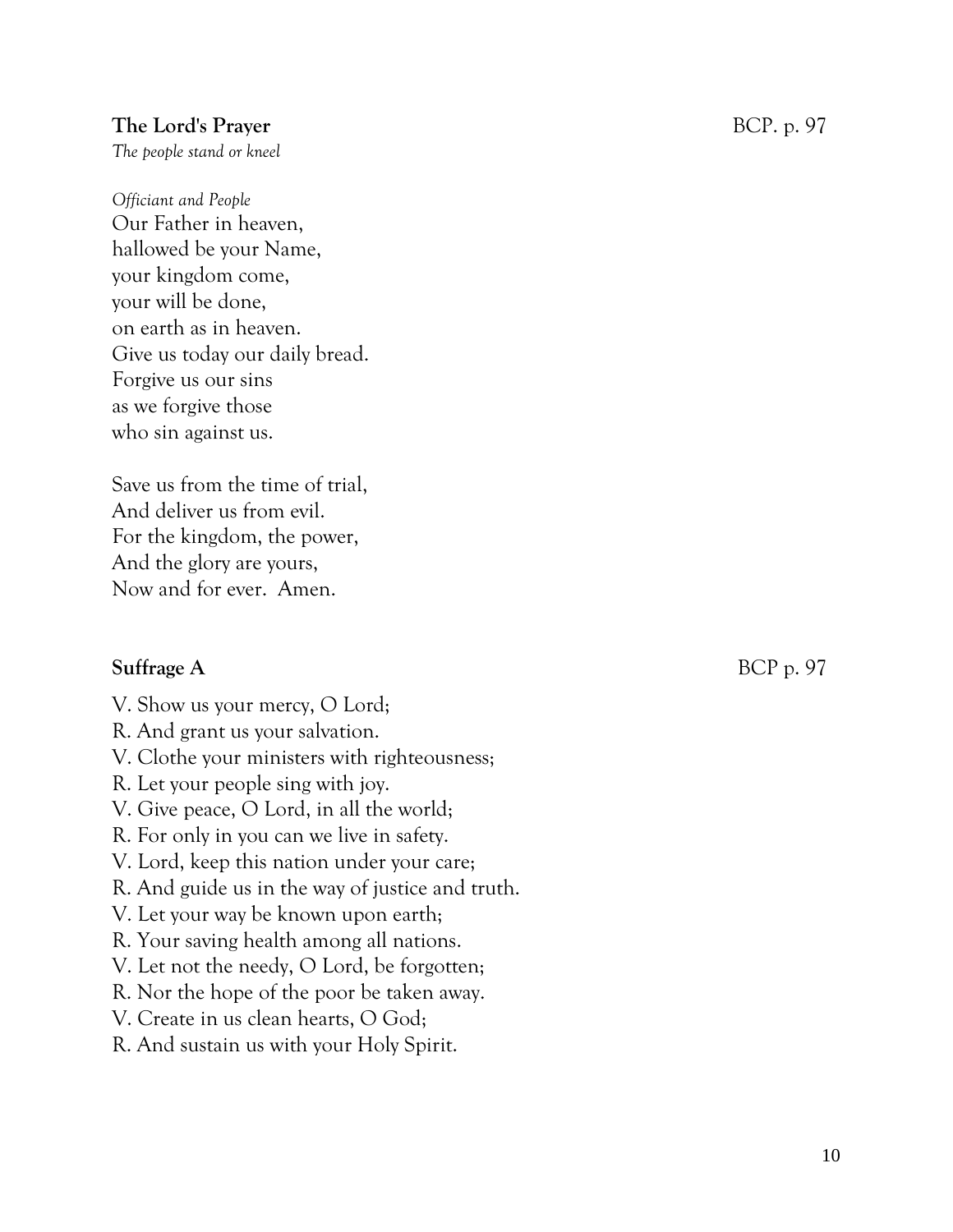#### **The Lord's Prayer** BCP. p. 97

*The people stand or kneel*

*Officiant and People*  Our Father in heaven, hallowed be your Name, your kingdom come, your will be done, on earth as in heaven. Give us today our daily bread. Forgive us our sins as we forgive those who sin against us.

Save us from the time of trial, And deliver us from evil. For the kingdom, the power, And the glory are yours, Now and for ever. Amen.

#### **Suffrage A** BCP p. 97

- V. Show us your mercy, O Lord;
- R. And grant us your salvation.
- V. Clothe your ministers with righteousness;
- R. Let your people sing with joy.
- V. Give peace, O Lord, in all the world;
- R. For only in you can we live in safety.
- V. Lord, keep this nation under your care;
- R. And guide us in the way of justice and truth.
- V. Let your way be known upon earth;
- R. Your saving health among all nations.
- V. Let not the needy, O Lord, be forgotten;
- R. Nor the hope of the poor be taken away.
- V. Create in us clean hearts, O God;
- R. And sustain us with your Holy Spirit.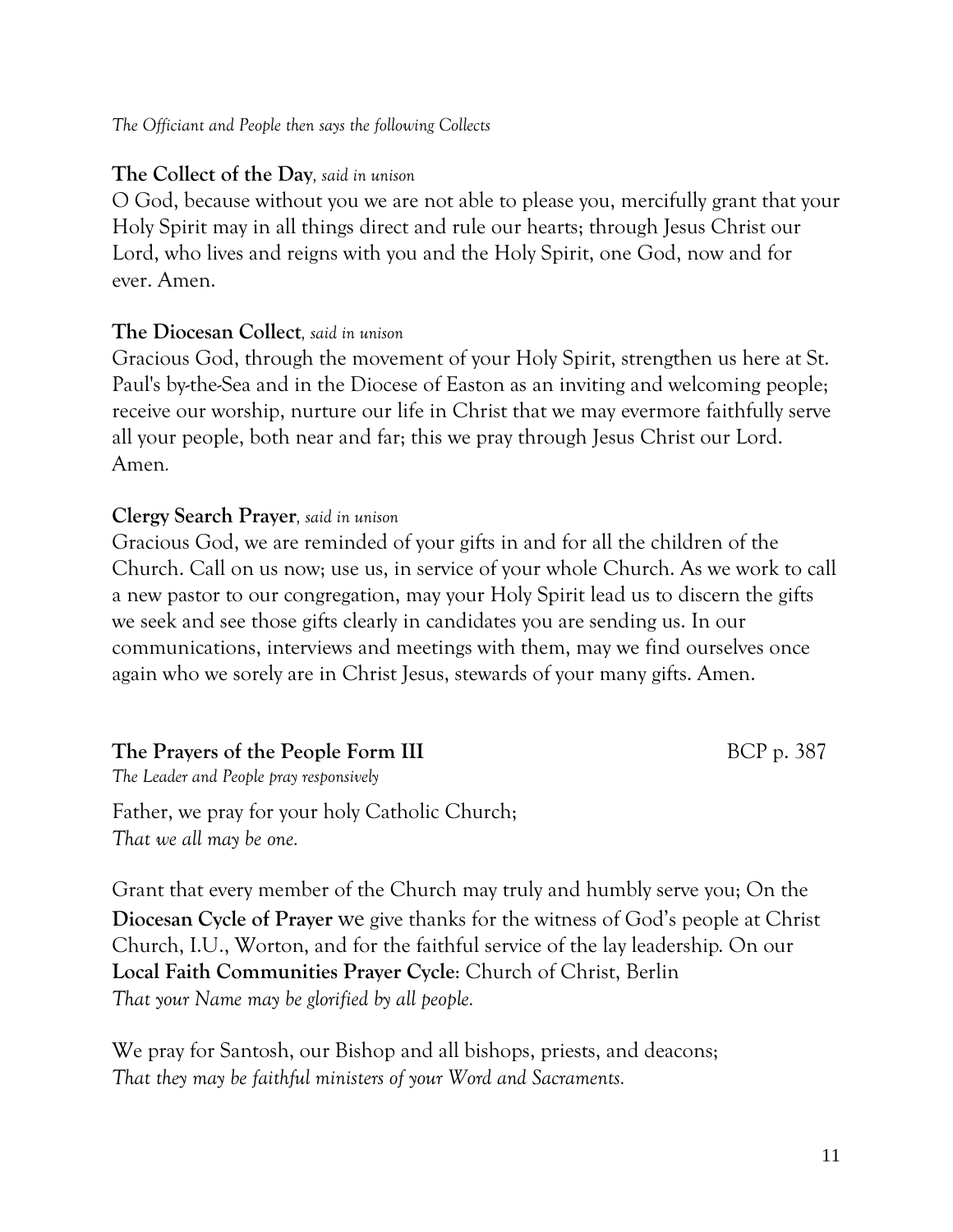#### *The Officiant and People then says the following Collects*

#### **The Collect of the Day***, said in unison*

O God, because without you we are not able to please you, mercifully grant that your Holy Spirit may in all things direct and rule our hearts; through Jesus Christ our Lord, who lives and reigns with you and the Holy Spirit, one God, now and for ever. Amen.

#### **The Diocesan Collect***, said in unison*

Gracious God, through the movement of your Holy Spirit, strengthen us here at St. Paul's by-the-Sea and in the Diocese of Easton as an inviting and welcoming people; receive our worship, nurture our life in Christ that we may evermore faithfully serve all your people, both near and far; this we pray through Jesus Christ our Lord. Amen*.*

#### **Clergy Search Prayer***, said in unison*

Gracious God, we are reminded of your gifts in and for all the children of the Church. Call on us now; use us, in service of your whole Church. As we work to call a new pastor to our congregation, may your Holy Spirit lead us to discern the gifts we seek and see those gifts clearly in candidates you are sending us. In our communications, interviews and meetings with them, may we find ourselves once again who we sorely are in Christ Jesus, stewards of your many gifts. Amen.

#### **The Prayers of the People Form III** BCP p. 387

*The Leader and People pray responsively*

Father, we pray for your holy Catholic Church; *That we all may be one.*

Grant that every member of the Church may truly and humbly serve you; On the **Diocesan Cycle of Prayer** we give thanks for the witness of God's people at Christ Church, I.U., Worton, and for the faithful service of the lay leadership. On our **Local Faith Communities Prayer Cycle**: Church of Christ, Berlin *That your Name may be glorified by all people.*

We pray for Santosh, our Bishop and all bishops, priests, and deacons; *That they may be faithful ministers of your Word and Sacraments.*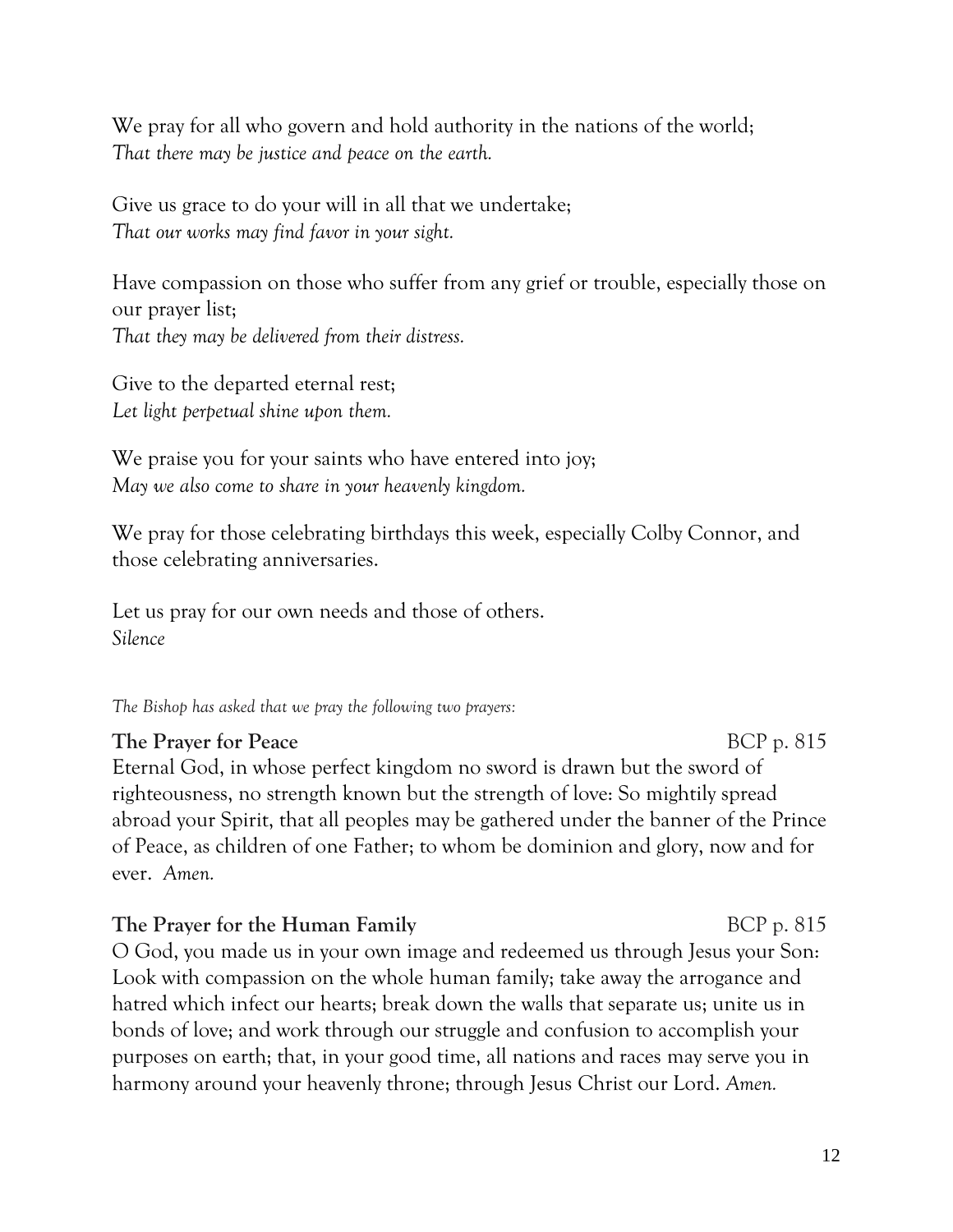We pray for all who govern and hold authority in the nations of the world; *That there may be justice and peace on the earth.*

Give us grace to do your will in all that we undertake; *That our works may find favor in your sight.*

Have compassion on those who suffer from any grief or trouble, especially those on our prayer list; *That they may be delivered from their distress.*

Give to the departed eternal rest; *Let light perpetual shine upon them.*

We praise you for your saints who have entered into joy; *May we also come to share in your heavenly kingdom.*

We pray for those celebrating birthdays this week, especially Colby Connor, and those celebrating anniversaries.

Let us pray for our own needs and those of others. *Silence*

*The Bishop has asked that we pray the following two prayers:*

#### **The Prayer for Peace** BCP p. 815

Eternal God, in whose perfect kingdom no sword is drawn but the sword of righteousness, no strength known but the strength of love: So mightily spread abroad your Spirit, that all peoples may be gathered under the banner of the Prince of Peace, as children of one Father; to whom be dominion and glory, now and for ever. *Amen.*

#### **The Prayer for the Human Family** BCP p. 815

O God, you made us in your own image and redeemed us through Jesus your Son: Look with compassion on the whole human family; take away the arrogance and hatred which infect our hearts; break down the walls that separate us; unite us in bonds of love; and work through our struggle and confusion to accomplish your purposes on earth; that, in your good time, all nations and races may serve you in harmony around your heavenly throne; through Jesus Christ our Lord. *Amen.*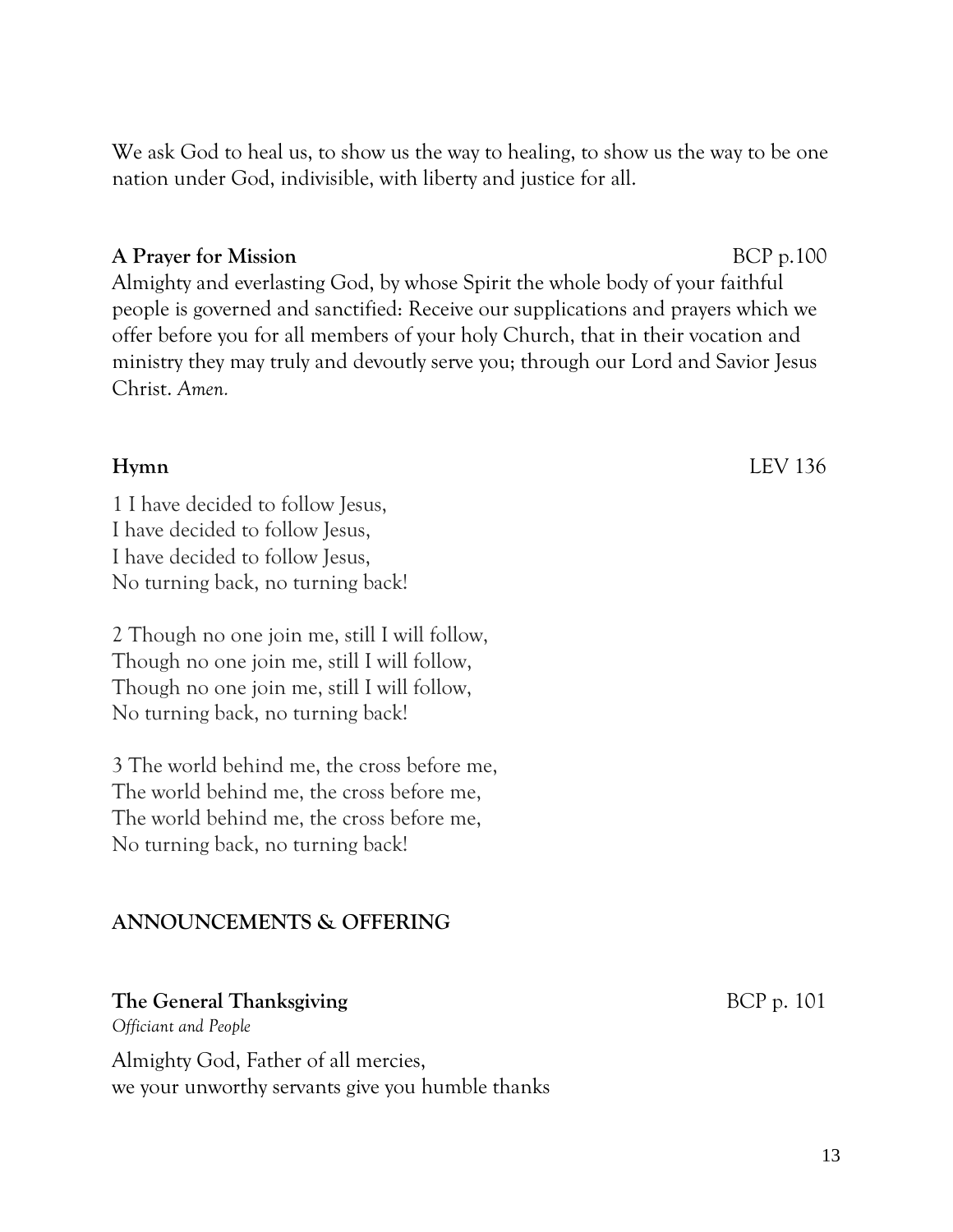We ask God to heal us, to show us the way to healing, to show us the way to be one nation under God, indivisible, with liberty and justice for all.

#### **A** Prayer for Mission BCP p.100

Almighty and everlasting God, by whose Spirit the whole body of your faithful people is governed and sanctified: Receive our supplications and prayers which we offer before you for all members of your holy Church, that in their vocation and ministry they may truly and devoutly serve you; through our Lord and Savior Jesus Christ. *Amen.*

1 I have decided to follow Jesus, I have decided to follow Jesus, I have decided to follow Jesus, No turning back, no turning back!

2 Though no one join me, still I will follow, Though no one join me, still I will follow, Though no one join me, still I will follow, No turning back, no turning back!

3 The world behind me, the cross before me, The world behind me, the cross before me, The world behind me, the cross before me, No turning back, no turning back!

#### **ANNOUNCEMENTS & OFFERING**

#### **The General Thanksgiving** BCP p. 101

*Officiant and People*

Almighty God, Father of all mercies, we your unworthy servants give you humble thanks

**Hymn** LEV 136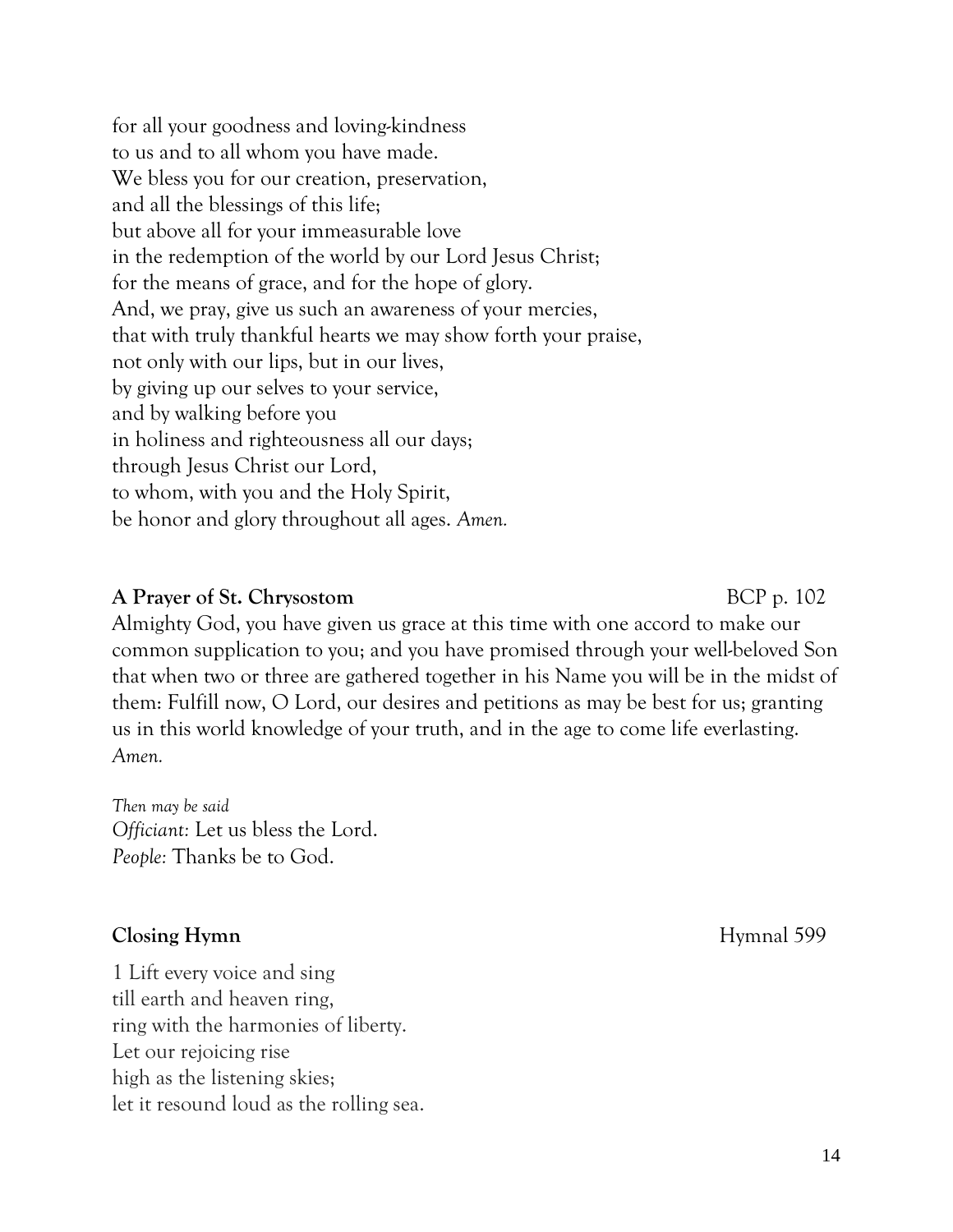14

for all your goodness and loving-kindness to us and to all whom you have made. We bless you for our creation, preservation, and all the blessings of this life; but above all for your immeasurable love in the redemption of the world by our Lord Jesus Christ; for the means of grace, and for the hope of glory. And, we pray, give us such an awareness of your mercies, that with truly thankful hearts we may show forth your praise, not only with our lips, but in our lives, by giving up our selves to your service, and by walking before you in holiness and righteousness all our days; through Jesus Christ our Lord, to whom, with you and the Holy Spirit, be honor and glory throughout all ages. *Amen.*

#### **A Prayer of St. Chrysostom** BCP p. 102

Almighty God, you have given us grace at this time with one accord to make our common supplication to you; and you have promised through your well-beloved Son that when two or three are gathered together in his Name you will be in the midst of them: Fulfill now, O Lord, our desires and petitions as may be best for us; granting us in this world knowledge of your truth, and in the age to come life everlasting. *Amen.*

*Then may be said Officiant:* Let us bless the Lord. *People:* Thanks be to God.

### **Closing Hymn** Hymnal 599

1 Lift every voice and sing till earth and heaven ring, ring with the harmonies of liberty. Let our rejoicing rise high as the listening skies; let it resound loud as the rolling sea.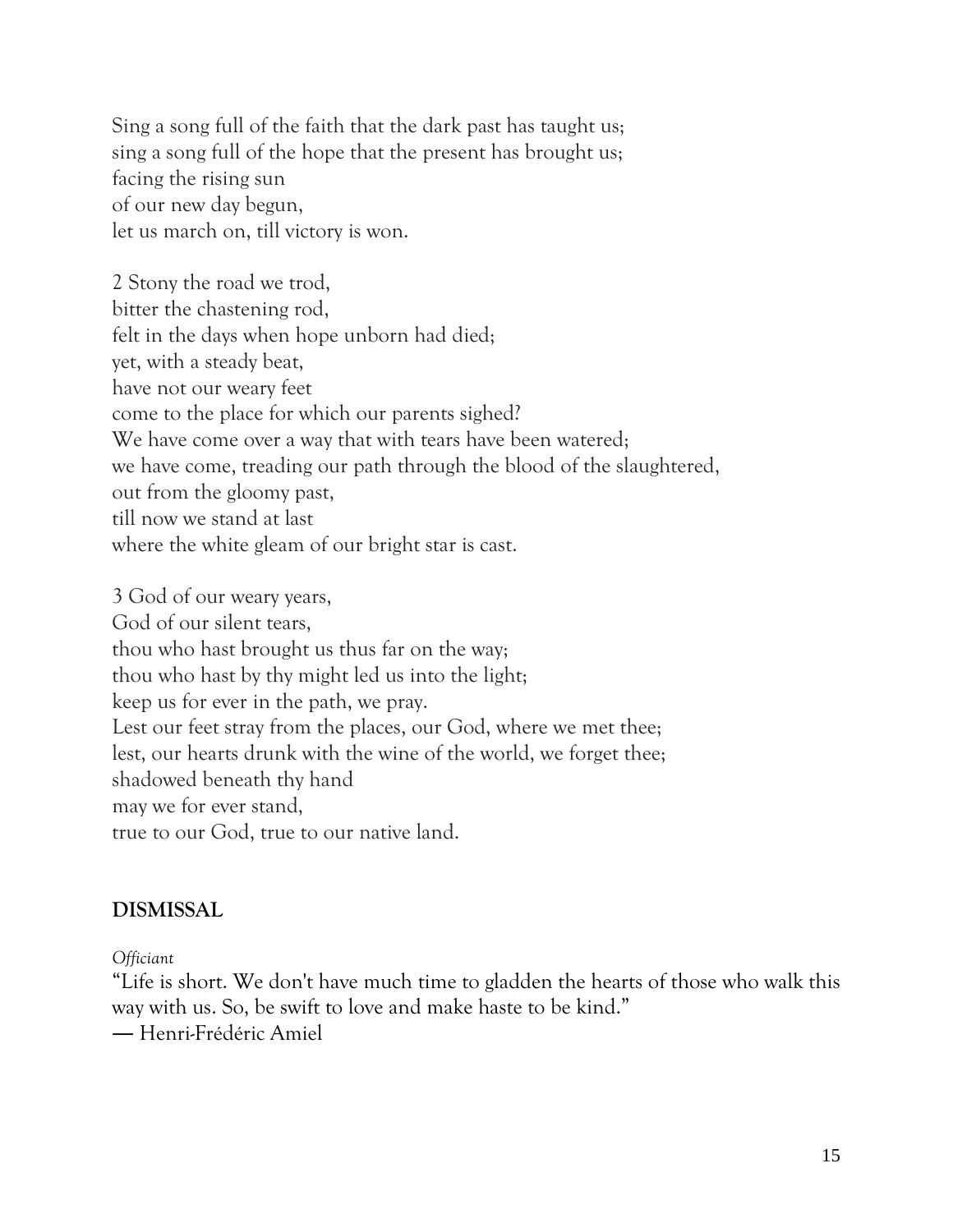Sing a song full of the faith that the dark past has taught us; sing a song full of the hope that the present has brought us; facing the rising sun of our new day begun, let us march on, till victory is won.

2 Stony the road we trod, bitter the chastening rod, felt in the days when hope unborn had died; yet, with a steady beat, have not our weary feet come to the place for which our parents sighed? We have come over a way that with tears have been watered; we have come, treading our path through the blood of the slaughtered, out from the gloomy past, till now we stand at last where the white gleam of our bright star is cast.

3 God of our weary years, God of our silent tears, thou who hast brought us thus far on the way; thou who hast by thy might led us into the light; keep us for ever in the path, we pray. Lest our feet stray from the places, our God, where we met thee; lest, our hearts drunk with the wine of the world, we forget thee; shadowed beneath thy hand may we for ever stand, true to our God, true to our native land.

#### **DISMISSAL**

*Officiant*

"Life is short. We don't have much time to gladden the hearts of those who walk this way with us. So, be swift to love and make haste to be kind."

― Henri-Frédéric Amiel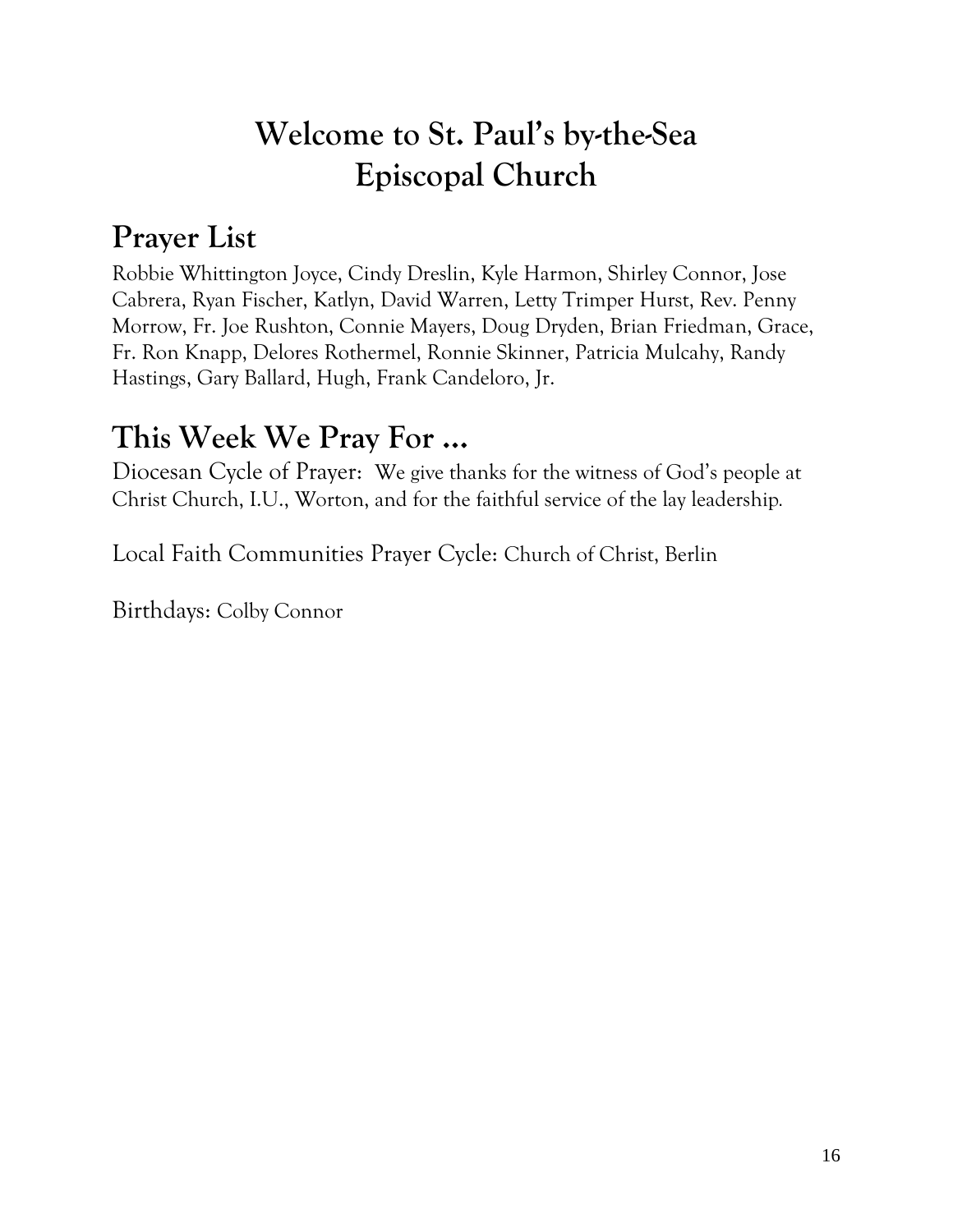## **Welcome to St. Paul's by-the-Sea Episcopal Church**

## **Prayer List**

Robbie Whittington Joyce, Cindy Dreslin, Kyle Harmon, Shirley Connor, Jose Cabrera, Ryan Fischer, Katlyn, David Warren, Letty Trimper Hurst, Rev. Penny Morrow, Fr. Joe Rushton, Connie Mayers, Doug Dryden, Brian Friedman, Grace, Fr. Ron Knapp, Delores Rothermel, Ronnie Skinner, Patricia Mulcahy, Randy Hastings, Gary Ballard, Hugh, Frank Candeloro, Jr.

## **This Week We Pray For ...**

Diocesan Cycle of Prayer: We give thanks for the witness of God's people at Christ Church, I.U., Worton, and for the faithful service of the lay leadership.

Local Faith Communities Prayer Cycle: Church of Christ, Berlin

Birthdays: Colby Connor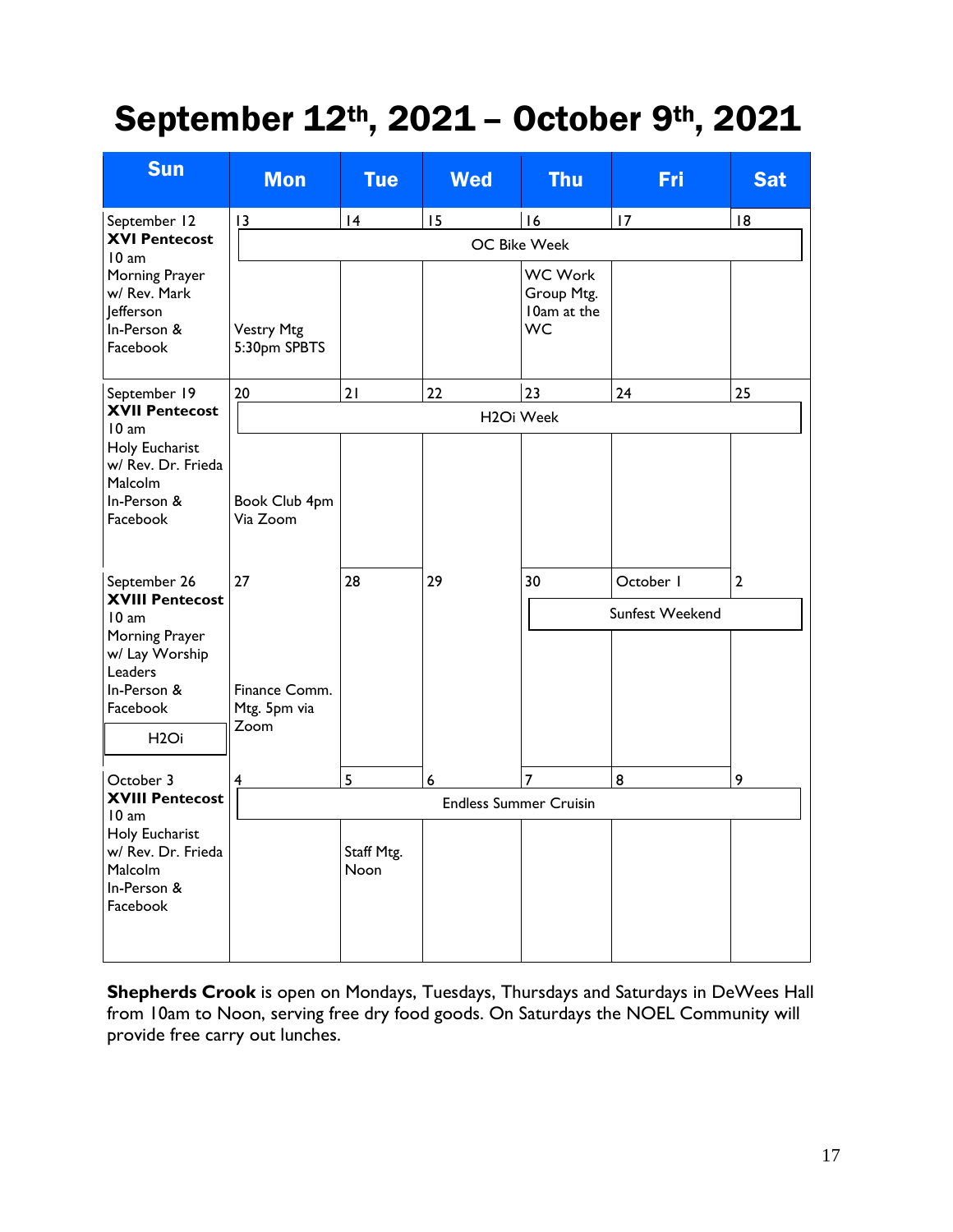## September 12th, 2021 – October 9th, 2021

| <b>Sun</b>                                                                                                                                                                                                                                                                     | <b>Mon</b>                                                               | <b>Tue</b>         | <b>Wed</b>       | <b>Thu</b>                                               | Fri                          | <b>Sat</b>     |
|--------------------------------------------------------------------------------------------------------------------------------------------------------------------------------------------------------------------------------------------------------------------------------|--------------------------------------------------------------------------|--------------------|------------------|----------------------------------------------------------|------------------------------|----------------|
| September 12<br><b>XVI Pentecost</b><br>10 am<br>Morning Prayer<br>w/ Rev. Mark<br>lefferson<br>In-Person &<br>Facebook                                                                                                                                                        | 4<br>15<br>16<br>17<br> 8<br>13<br><b>OC Bike Week</b>                   |                    |                  |                                                          |                              |                |
|                                                                                                                                                                                                                                                                                | <b>Vestry Mtg</b><br>5:30pm SPBTS                                        |                    |                  | <b>WC Work</b><br>Group Mtg.<br>10am at the<br><b>WC</b> |                              |                |
| September 19<br><b>XVII Pentecost</b><br>10 am<br>Holy Eucharist<br>w/ Rev. Dr. Frieda<br>Malcolm<br>In-Person &<br>Facebook<br>September 26<br><b>XVIII Pentecost</b><br>10 am<br>Morning Prayer<br>w/ Lay Worship<br>Leaders<br>In-Person &<br>Facebook<br>H <sub>2</sub> Oi | 20                                                                       | 21                 | 22               | 23                                                       | 24                           | 25             |
|                                                                                                                                                                                                                                                                                | H <sub>2</sub> Oi Week                                                   |                    |                  |                                                          |                              |                |
|                                                                                                                                                                                                                                                                                | Book Club 4pm<br>Via Zoom<br>27<br>Finance Comm.<br>Mtg. 5pm via<br>Zoom | 28                 | 29               | 30                                                       | October I<br>Sunfest Weekend | $\overline{2}$ |
| October 3                                                                                                                                                                                                                                                                      | $\overline{\mathbf{4}}$                                                  | 5                  | $\boldsymbol{6}$ | $\overline{7}$                                           | 8                            | 9              |
| <b>XVIII Pentecost</b><br>10 am<br>Holy Eucharist<br>w/ Rev. Dr. Frieda<br>Malcolm<br>In-Person &<br>Facebook                                                                                                                                                                  | <b>Endless Summer Cruisin</b>                                            |                    |                  |                                                          |                              |                |
|                                                                                                                                                                                                                                                                                |                                                                          | Staff Mtg.<br>Noon |                  |                                                          |                              |                |

**Shepherds Crook** is open on Mondays, Tuesdays, Thursdays and Saturdays in DeWees Hall from 10am to Noon, serving free dry food goods. On Saturdays the NOEL Community will provide free carry out lunches.